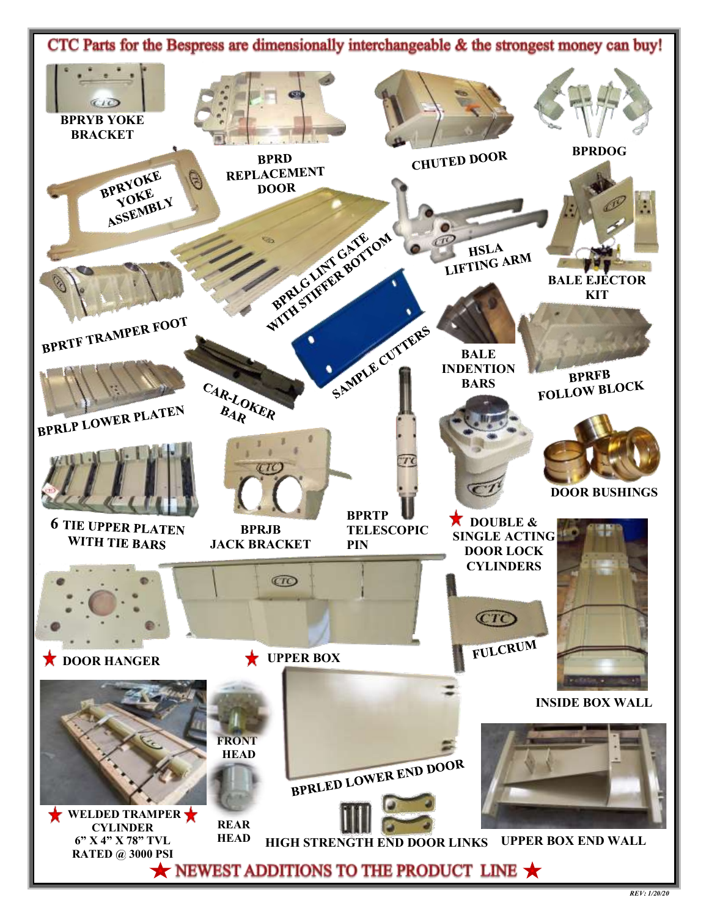